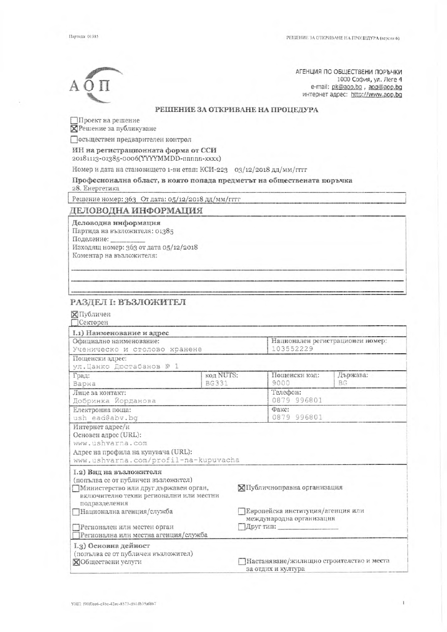$A \Omega$ 

АГЕНЦИЯ ПО ОБЩЕСТВЕНИ ПОРЪЧКИ 1000 София, ул. Леге 4 e-mail: pk@aop.bg , aop@aop.bg интернет адрес: http://www.aop.bq

#### РЕШЕНИЕ ЗА ОТКРИВАНЕ НА ПРОЦЕДУРА

Проект на решение

**ПРешение за публикуване** 

Осъществен предварителен контрол

# ИН на регистрационната форма от ССИ

20181113-01385-0006(YYYYMMDD-nnnnn-xxxx)

Номер и дата на становището 1-ви етап: КСИ-223 03/12/2018 дд/мм/гггг

## Професионална област, в която попада предметът на обществената поръчка

28. Енергетика

Решение номер: 363 От дата: 05/12/2018 дд/мм/гггг

#### ДЕЛОВОДНА ИНФОРМАЦИЯ

Деловодна информация

Партида на възложителя: 01385

Поделение:

Изходящ номер: 363 от дата 05/12/2018

Коментар на възложителя:

#### РАЗДЕЛ І: ВЪЗЛОЖИТЕЛ

#### ⊠Публичен

**Секторен** 

| I.1) Наименование и адрес                                                                                                                                           |              |                                                                |                                  |  |
|---------------------------------------------------------------------------------------------------------------------------------------------------------------------|--------------|----------------------------------------------------------------|----------------------------------|--|
| Официално наименование:                                                                                                                                             |              |                                                                | Национален регистрационен номер: |  |
| Ученическо и столово хранене                                                                                                                                        |              | 103552229                                                      |                                  |  |
| Пощенски адрес:                                                                                                                                                     |              |                                                                |                                  |  |
| ул.Цанко Дюстабанов № 1                                                                                                                                             |              |                                                                |                                  |  |
| Град:                                                                                                                                                               | код NUTS:    | Пощенски код:                                                  | Държава:                         |  |
| Варна                                                                                                                                                               | <b>BG331</b> | 9000                                                           | BG.                              |  |
| Лице за контакт:                                                                                                                                                    |              | Телефон:                                                       |                                  |  |
| Добринка Йорданова                                                                                                                                                  |              | 0879 996801                                                    |                                  |  |
| Електронна поща:                                                                                                                                                    |              | Факс:<br>0879 996801                                           |                                  |  |
| ush ead@abv.bg                                                                                                                                                      |              |                                                                |                                  |  |
| Интернет адрес/и<br>Основен адрес (URL):<br>www.ushvarna.com<br>Адрес на профила на купувача (URL):<br>www.ushvarna.com/profil-na-kupuvacha                         |              |                                                                |                                  |  |
| I.2) Вид на възложителя<br>(попълва се от публичен възложител)<br>Министерство или друг държавен орган,<br>включително техни регионални или местни<br>подразделения |              | ⊠ Публичноправна организация                                   |                                  |  |
| Национална агенция/служба                                                                                                                                           |              | Европейска институция/агенция или<br>международна организация  |                                  |  |
| Регионален или местен орган                                                                                                                                         |              | Друг тип:                                                      |                                  |  |
| Регионална или местна агенция/служба                                                                                                                                |              |                                                                |                                  |  |
| I.3) Основна дейност<br>(попълва се от публичен възложител)<br>⊠Обществени услуги                                                                                   |              | Настаняване/жилищно строителство и места<br>за отдих и култура |                                  |  |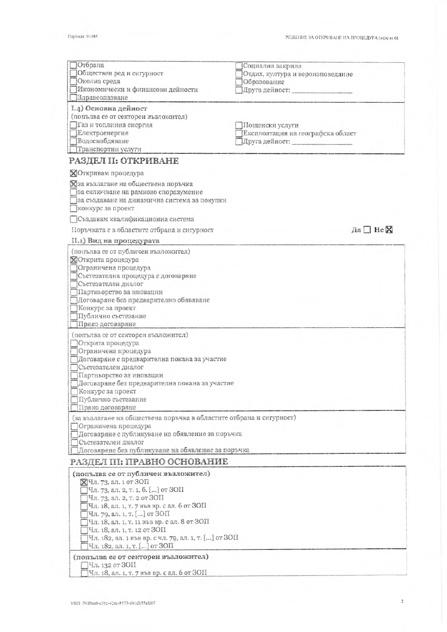| Отбрана                                                                                  | Социална закрила                                    |
|------------------------------------------------------------------------------------------|-----------------------------------------------------|
| Обществен ред и сигурност<br>Околна среда                                                | Отдих, култура и вероизповедание<br>Образование     |
| Икономически и финансови дейности                                                        | Друга дейност:                                      |
| Здравеопазване                                                                           |                                                     |
| I.4) Основна дейност                                                                     |                                                     |
| (попълва се от секторен възложител)                                                      |                                                     |
| Газ и топлинна енергия                                                                   | Пощенски услуги                                     |
| Електроенергия<br>Водоснабдяване                                                         | Експлоатация на географска област<br>Друга дейност: |
| Транспортни услуги                                                                       |                                                     |
| РАЗДЕЛ II: ОТКРИВАНЕ                                                                     |                                                     |
| Откривам процедура                                                                       |                                                     |
| Хза възлагане на обществена поръчка                                                      |                                                     |
| за сключване на рамково споразумение                                                     |                                                     |
| за създаване на динамична система за покупки                                             |                                                     |
| конкурс за проект                                                                        |                                                     |
| Създавам квалификационна система                                                         |                                                     |
| Поръчката е в областите отбрана и сигурност                                              | Да□неХ                                              |
| II.1) Вид на процедурата                                                                 |                                                     |
| (попълва се от публичен възложител)<br><b>ХОткрита</b> процедура                         |                                                     |
| Ограничена процедура                                                                     |                                                     |
| Състезателна процедура с договаряне                                                      |                                                     |
| Състезателен диалог                                                                      |                                                     |
| Партньорство за иновации                                                                 |                                                     |
| Договаряне без предварително обявяване<br>Конкурс за проект                              |                                                     |
| Публично състезание                                                                      |                                                     |
| Пряко договаряне                                                                         |                                                     |
| (попълва се от секторен възложител)                                                      |                                                     |
| Открита процедура                                                                        |                                                     |
| Ограничена процедура                                                                     |                                                     |
| Договаряне с предварителна покана за участие<br>Състезателен диалог                      |                                                     |
| Партньорство за иновации                                                                 |                                                     |
| Договаряне без предварителна покана за участие                                           |                                                     |
| Конкурс за проект                                                                        |                                                     |
| Публично състезание                                                                      |                                                     |
| Пряко договаряне<br>(за възлагане на обществена поръчка в областите отбрана и сигурност) |                                                     |
| ПОграничена процедура                                                                    |                                                     |
| ПДоговаряне с публикуване на обявление за поръчка                                        |                                                     |
| Състезателен диалог                                                                      |                                                     |
| Договяряне без публикуване на обявление за поръчка                                       |                                                     |
| РАЗДЕЛ III: ПРАВНО ОСНОВАНИЕ                                                             |                                                     |
| (попълва се от публичен възложител)<br>⊠Чл. 73, ал. 1 от ЗОП                             |                                                     |
| Чл. 73, ал. 2, т. 1, б. [] от ЗОП                                                        |                                                     |
| Чл. 73, ал. 2, т. 2 от ЗОП                                                               |                                                     |
| Чл. 18, ал. 1, т. 7 във вр. с ал. 6 от ЗОП                                               |                                                     |
| Чл. 79, ал. 1, т. [] от ЗОП                                                              |                                                     |
| Чл. 18, ал. 1, т. 11 във вр. с ал. 8 от ЗОП<br>Чл. 18, ал. 1, т. 12 от ЗОП               |                                                     |
| Чл. 182, ал. 1 във вр. с чл. 79, ал. 1, т. [] от ЗОП                                     |                                                     |
| Чл. 182, ал. 1, т. [] от ЗОП                                                             |                                                     |
| (попълва се от секторен възложител)                                                      |                                                     |
| Чл. 132 от ЗОП<br>Чл. 18, ал. 1, т. 7 във вр. с ал. 6 от ЗОП                             |                                                     |
|                                                                                          |                                                     |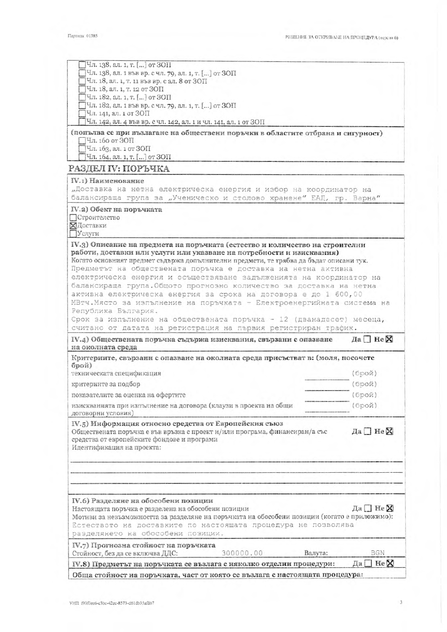$\overline{\mathbf{3}}$ 

| Естеството на доставките по настоящата процедура не позволява<br>разделянето на обособени позиции.<br>IV.7) Прогнозна стойност на поръчката<br>300000.00<br>Валута:<br>Стойност, без да се включва ДДС:<br>IV.8) Предметът на поръчката се възлага с няколко отделни процедури: | <b>BGN</b><br>$\exists$ He $\boxtimes$<br>Дa |
|---------------------------------------------------------------------------------------------------------------------------------------------------------------------------------------------------------------------------------------------------------------------------------|----------------------------------------------|
|                                                                                                                                                                                                                                                                                 |                                              |
| IV.6) Разделяне на обособени позиции<br>Настоящата поръчка е разделена на обособени позиции<br>Мотиви за невъзможността за разделяне на поръчката на обособени позиции (когато е приложимо):                                                                                    | Да $\Box$ Не $\boxtimes$                     |
|                                                                                                                                                                                                                                                                                 |                                              |
|                                                                                                                                                                                                                                                                                 |                                              |
| Обществената поръчка е във връзка с проект и/или програма, финансиран/а със<br>средства от европейските фондове и програми<br>Идентификация на проекта:                                                                                                                         | Да□ Не⊠                                      |
| договорни условия)<br>IV.5) Информация относно средства от Европейския съюз                                                                                                                                                                                                     |                                              |
| изискванията при изпълнение на договора (клаузи в проекта на общи                                                                                                                                                                                                               | (брой)                                       |
| показателите за оценка на офертите                                                                                                                                                                                                                                              | (брой)                                       |
| критериите за подбор                                                                                                                                                                                                                                                            | (брой)                                       |
| брой)<br>техническата спецификация                                                                                                                                                                                                                                              | (брой)                                       |
| IV.4) Обществената поръчка съдържа изисквания, свързани с опазване<br>на околната среда<br>Критериите, свързани с опазване на околната среда присъстват в: (моля, посочете                                                                                                      | Да□Не⊠                                       |
| считано от датата на регистрация на първия регистриран трафик.                                                                                                                                                                                                                  |                                              |
| Срок за изпълнение на обществената поръчка - 12 (дванадесет) месеца,                                                                                                                                                                                                            |                                              |
| Република България.                                                                                                                                                                                                                                                             |                                              |
| активна електрическа енергия за срока на договора е до 1 600,00<br>МВтч. Място за изпълнение на поръчката - Електроенергийната система на                                                                                                                                       |                                              |
| балансираща група. Общото прогнозно количество за доставка на нетна                                                                                                                                                                                                             |                                              |
| електрическа енергия и осъществяване задълженията на координатор на                                                                                                                                                                                                             |                                              |
| Когато основният предмет съдържа допълнителни предмети, те трябва да бъдат описани тук.<br>Предметът на обществената поръчка е доставка на нетна активна                                                                                                                        |                                              |
| работи, доставки или услуги или указване на потребности и изисквания)                                                                                                                                                                                                           |                                              |
| IV.3) Описание на предмета на поръчката (естество и количество на строителни                                                                                                                                                                                                    |                                              |
| ХДоставки<br>Услуги                                                                                                                                                                                                                                                             |                                              |
| Строителство                                                                                                                                                                                                                                                                    |                                              |
| IV.2) Обект на поръчката                                                                                                                                                                                                                                                        |                                              |
| балансираща група за "Ученическо и столово хранене" ЕАД, гр. Варна"                                                                                                                                                                                                             |                                              |
| "Доставка на нетна електрическа енергия и избор на координатор на                                                                                                                                                                                                               |                                              |
| IV.1) Наименование                                                                                                                                                                                                                                                              |                                              |
| РАЗДЕЛ IV: ПОРЪЧКА                                                                                                                                                                                                                                                              |                                              |
| Чл. 163, ал. 1 от ЗОП<br>Чл. 164, ал. 1, т. [] от ЗОП                                                                                                                                                                                                                           |                                              |
| Чл. 160 от ЗОП                                                                                                                                                                                                                                                                  |                                              |
| (попълва се при възлагане на обществени поръчки в областите отбрана и сигурност)                                                                                                                                                                                                |                                              |
| Чл. 142, ал. 4 във вр. с чл. 142, ал. 1 и чл. 141, ал. 1 от ЗОП                                                                                                                                                                                                                 |                                              |
| Чл. 182, ал. 1 във вр. с чл. 79, ал. 1, т. [] от ЗОП<br>Чл. 141, ал. 1 от ЗОП                                                                                                                                                                                                   |                                              |
| Чл. 182, ал. 1, т. [] от ЗОП                                                                                                                                                                                                                                                    |                                              |
|                                                                                                                                                                                                                                                                                 |                                              |
| Чл. 18, ал. 1, т. 11 във вр. с ал. 8 от ЗОП<br>Чл. 18, ал. 1, т. 12 от ЗОП                                                                                                                                                                                                      |                                              |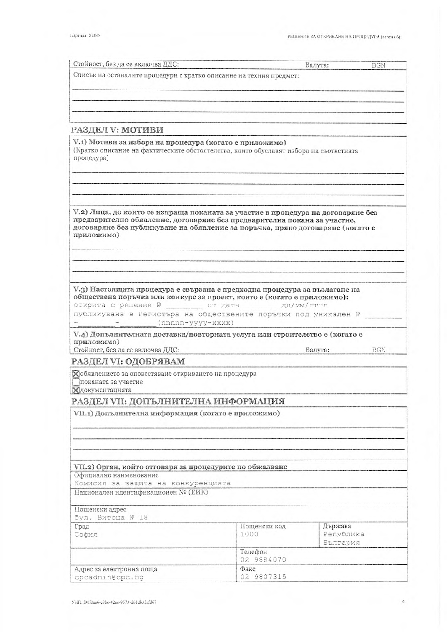| Стойност, без да се включва ДДС:                                                                                                                                                                                                                                                                                                                                                                                          |                       | Валута:                          | <b>BGN</b> |
|---------------------------------------------------------------------------------------------------------------------------------------------------------------------------------------------------------------------------------------------------------------------------------------------------------------------------------------------------------------------------------------------------------------------------|-----------------------|----------------------------------|------------|
| Списък на останалите процедури с кратко описание на техния предмет:                                                                                                                                                                                                                                                                                                                                                       |                       |                                  |            |
|                                                                                                                                                                                                                                                                                                                                                                                                                           |                       |                                  |            |
|                                                                                                                                                                                                                                                                                                                                                                                                                           |                       |                                  |            |
|                                                                                                                                                                                                                                                                                                                                                                                                                           |                       |                                  |            |
|                                                                                                                                                                                                                                                                                                                                                                                                                           |                       |                                  |            |
| РАЗДЕЛ V: МОТИВИ                                                                                                                                                                                                                                                                                                                                                                                                          |                       |                                  |            |
| V.1) Мотиви за избора на процедура (когато е приложимо)<br>(Кратко описание на фактическите обстоятелства, които обуславят избора на съответната<br>процедура)                                                                                                                                                                                                                                                            |                       |                                  |            |
|                                                                                                                                                                                                                                                                                                                                                                                                                           |                       |                                  |            |
| V.2) Лица, до които се изпраща поканата за участие в процедура на договаряне без<br>предварително обявление, договаряне без предварителна покана за участие,<br>договаряне без публикуване на обявление за поръчка, пряко договаряне (когато е<br>приложимо)                                                                                                                                                              |                       |                                  |            |
|                                                                                                                                                                                                                                                                                                                                                                                                                           |                       |                                  |            |
| V.3) Настоящата процедура е свързана с предходна процедура за възлагане на<br>обществена поръчка или конкурс за проект, която е (когато е приложимо):<br>открита с решение N <sup>2</sup> страта дд/мм/гггг                                                                                                                                                                                                               |                       |                                  |            |
| $(nnnnn-yyyy-xxxx)$                                                                                                                                                                                                                                                                                                                                                                                                       |                       |                                  |            |
|                                                                                                                                                                                                                                                                                                                                                                                                                           |                       |                                  |            |
|                                                                                                                                                                                                                                                                                                                                                                                                                           |                       | Валута:                          | <b>BGN</b> |
|                                                                                                                                                                                                                                                                                                                                                                                                                           |                       |                                  |            |
|                                                                                                                                                                                                                                                                                                                                                                                                                           |                       |                                  |            |
|                                                                                                                                                                                                                                                                                                                                                                                                                           |                       |                                  |            |
|                                                                                                                                                                                                                                                                                                                                                                                                                           |                       |                                  |            |
|                                                                                                                                                                                                                                                                                                                                                                                                                           |                       |                                  |            |
| публикувана в Регистъра на обществените поръчки под уникален №<br>V.4) Допълнителната доставка/повторната услуга или строителство е (когато е<br>приложимо)<br>Стойност, без да се включва ДДС:<br>РАЗДЕЛ VI: ОДОБРЯВАМ<br>Хобявлението за оповестяване откриването на процедура<br>Ппоканата за участие<br>Хдокументацията<br>РАЗДЕЛ VII: ДОПЪЛНИТЕЛНА ИНФОРМАЦИЯ<br>VII.1) Допълнителна информация (когато е приложимо) |                       |                                  |            |
|                                                                                                                                                                                                                                                                                                                                                                                                                           |                       |                                  |            |
|                                                                                                                                                                                                                                                                                                                                                                                                                           |                       |                                  |            |
|                                                                                                                                                                                                                                                                                                                                                                                                                           |                       |                                  |            |
|                                                                                                                                                                                                                                                                                                                                                                                                                           |                       |                                  |            |
|                                                                                                                                                                                                                                                                                                                                                                                                                           |                       |                                  |            |
|                                                                                                                                                                                                                                                                                                                                                                                                                           |                       |                                  |            |
|                                                                                                                                                                                                                                                                                                                                                                                                                           | Пощенски код<br>1000  | Държава<br>Република<br>България |            |
|                                                                                                                                                                                                                                                                                                                                                                                                                           | Телефон<br>02 9884070 |                                  |            |
| VII.2) Орган, който отговаря за процедурите по обжалване<br>Официално наименование<br>Комисия за защита на конкуренцията<br>Национален идентификационен № (ЕИК)<br>Пощенски адрес<br>бул. Витоша № 18<br>Град<br>София<br>Адрес за електронна поща<br>cpcadmin@cpc.bg                                                                                                                                                     | Факс<br>02 9807315    |                                  |            |